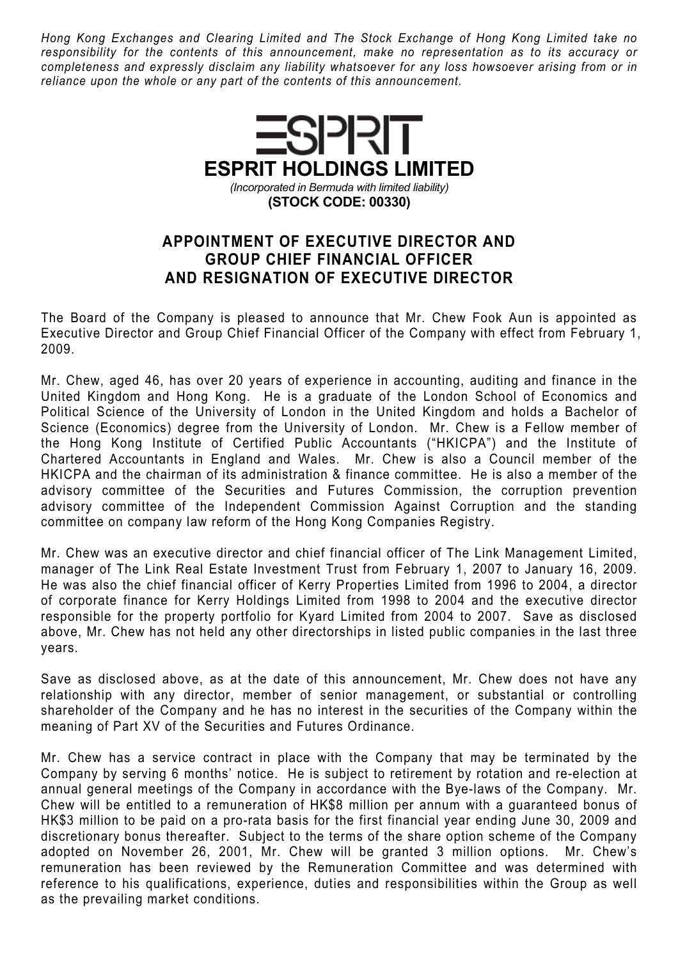Hong Kong Exchanges and Clearing Limited and The Stock Exchange of Hong Kong Limited take no responsibility for the contents of this announcement, make no representation as to its accuracy or completeness and expressly disclaim any liability whatsoever for any loss howsoever arising from or in reliance upon the whole or any part of the contents of this announcement.



## APPOINTMENT OF EXECUTIVE DIRECTOR AND GROUP CHIEF FINANCIAL OFFICER AND RESIGNATION OF EXECUTIVE DIRECTOR

The Board of the Company is pleased to announce that Mr. Chew Fook Aun is appointed as Executive Director and Group Chief Financial Officer of the Company with effect from February 1, 2009.

Mr. Chew, aged 46, has over 20 years of experience in accounting, auditing and finance in the United Kingdom and Hong Kong. He is a graduate of the London School of Economics and Political Science of the University of London in the United Kingdom and holds a Bachelor of Science (Economics) degree from the University of London. Mr. Chew is a Fellow member of the Hong Kong Institute of Certified Public Accountants ("HKICPA") and the Institute of Chartered Accountants in England and Wales. Mr. Chew is also a Council member of the HKICPA and the chairman of its administration & finance committee. He is also a member of the advisory committee of the Securities and Futures Commission, the corruption prevention advisory committee of the Independent Commission Against Corruption and the standing committee on company law reform of the Hong Kong Companies Registry.

Mr. Chew was an executive director and chief financial officer of The Link Management Limited, manager of The Link Real Estate Investment Trust from February 1, 2007 to January 16, 2009. He was also the chief financial officer of Kerry Properties Limited from 1996 to 2004, a director of corporate finance for Kerry Holdings Limited from 1998 to 2004 and the executive director responsible for the property portfolio for Kyard Limited from 2004 to 2007. Save as disclosed above, Mr. Chew has not held any other directorships in listed public companies in the last three years.

Save as disclosed above, as at the date of this announcement, Mr. Chew does not have any relationship with any director, member of senior management, or substantial or controlling shareholder of the Company and he has no interest in the securities of the Company within the meaning of Part XV of the Securities and Futures Ordinance.

Mr. Chew has a service contract in place with the Company that may be terminated by the Company by serving 6 months' notice. He is subject to retirement by rotation and re-election at annual general meetings of the Company in accordance with the Bye-laws of the Company. Mr. Chew will be entitled to a remuneration of HK\$8 million per annum with a guaranteed bonus of HK\$3 million to be paid on a pro-rata basis for the first financial year ending June 30, 2009 and discretionary bonus thereafter. Subject to the terms of the share option scheme of the Company adopted on November 26, 2001, Mr. Chew will be granted 3 million options. Mr. Chew's remuneration has been reviewed by the Remuneration Committee and was determined with reference to his qualifications, experience, duties and responsibilities within the Group as well as the prevailing market conditions.